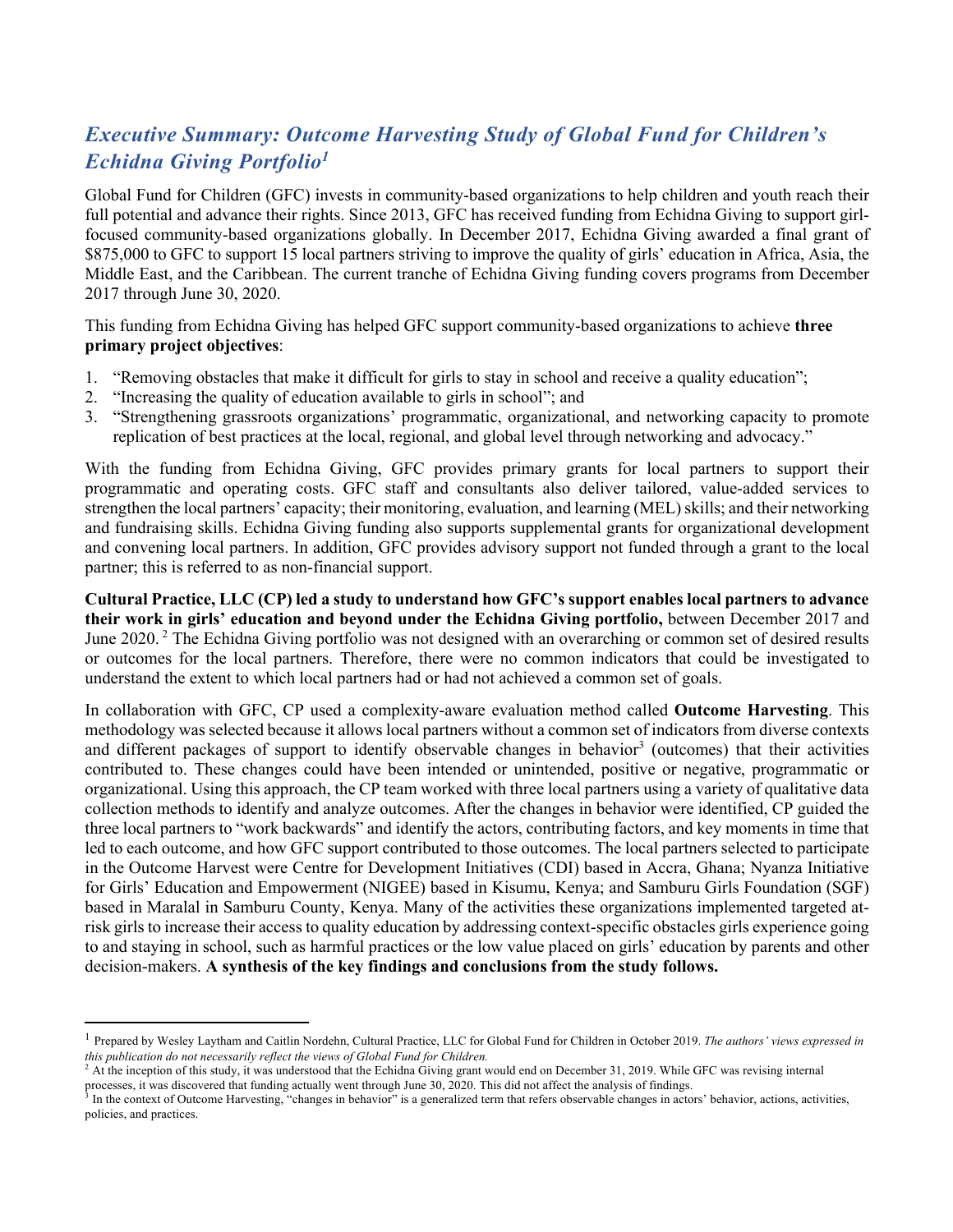## *Executive Summary: Outcome Harvesting Study of Global Fund for Children's Echidna Giving Portfolio1*

Global Fund for Children (GFC) invests in community-based organizations to help children and youth reach their full potential and advance their rights. Since 2013, GFC has received funding from Echidna Giving to support girlfocused community-based organizations globally. In December 2017, Echidna Giving awarded a final grant of \$875,000 to GFC to support 15 local partners striving to improve the quality of girls' education in Africa, Asia, the Middle East, and the Caribbean. The current tranche of Echidna Giving funding covers programs from December 2017 through June 30, 2020.

This funding from Echidna Giving has helped GFC support community-based organizations to achieve **three primary project objectives**:

- 1. "Removing obstacles that make it difficult for girls to stay in school and receive a quality education";
- 2. "Increasing the quality of education available to girls in school"; and
- 3. "Strengthening grassroots organizations' programmatic, organizational, and networking capacity to promote replication of best practices at the local, regional, and global level through networking and advocacy."

With the funding from Echidna Giving, GFC provides primary grants for local partners to support their programmatic and operating costs. GFC staff and consultants also deliver tailored, value-added services to strengthen the local partners' capacity; their monitoring, evaluation, and learning (MEL) skills; and their networking and fundraising skills. Echidna Giving funding also supports supplemental grants for organizational development and convening local partners. In addition, GFC provides advisory support not funded through a grant to the local partner; this is referred to as non-financial support.

**Cultural Practice, LLC (CP) led a study to understand how GFC's support enables local partners to advance their work in girls' education and beyond under the Echidna Giving portfolio,** between December 2017 and June 2020.<sup>2</sup> The Echidna Giving portfolio was not designed with an overarching or common set of desired results or outcomes for the local partners. Therefore, there were no common indicators that could be investigated to understand the extent to which local partners had or had not achieved a common set of goals.

In collaboration with GFC, CP used a complexity-aware evaluation method called **Outcome Harvesting**. This methodology was selected because it allows local partners without a common set of indicators from diverse contexts and different packages of support to identify observable changes in behavior<sup>3</sup> (outcomes) that their activities contributed to. These changes could have been intended or unintended, positive or negative, programmatic or organizational. Using this approach, the CP team worked with three local partners using a variety of qualitative data collection methods to identify and analyze outcomes. After the changes in behavior were identified, CP guided the three local partners to "work backwards" and identify the actors, contributing factors, and key moments in time that led to each outcome, and how GFC support contributed to those outcomes. The local partners selected to participate in the Outcome Harvest were Centre for Development Initiatives (CDI) based in Accra, Ghana; Nyanza Initiative for Girls' Education and Empowerment (NIGEE) based in Kisumu, Kenya; and Samburu Girls Foundation (SGF) based in Maralal in Samburu County, Kenya. Many of the activities these organizations implemented targeted atrisk girls to increase their access to quality education by addressing context-specific obstacles girls experience going to and staying in school, such as harmful practices or the low value placed on girls' education by parents and other decision-makers. **A synthesis of the key findings and conclusions from the study follows.**

<sup>1</sup> Prepared by Wesley Laytham and Caitlin Nordehn, Cultural Practice, LLC for Global Fund for Children in October 2019. *The authors' views expressed in this publication do not necessarily reflect the views of Global Fund for Children.*

<sup>&</sup>lt;sup>2</sup> At the inception of this study, it was understood that the Echidna Giving grant would end on December 31, 2019. While GFC was revising internal

processes, it was discovered that funding actually went through June 30, 2020. This did not affect the analysis of findings.

In the context of Outcome Harvesting, "changes in behavior" is a generalized term that refers observable changes in actors' behavior, actions, activities, policies, and practices.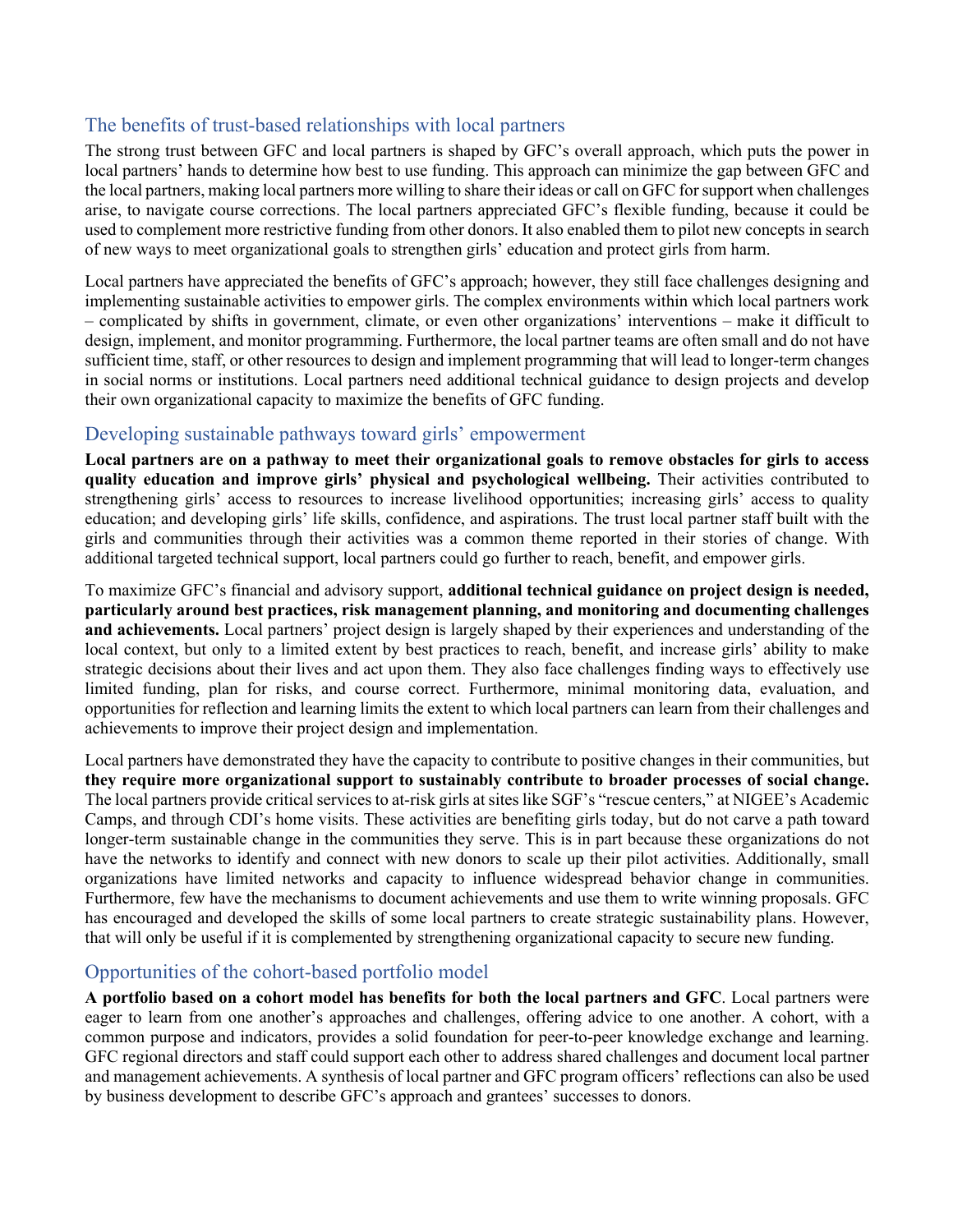## The benefits of trust-based relationships with local partners

The strong trust between GFC and local partners is shaped by GFC's overall approach, which puts the power in local partners' hands to determine how best to use funding. This approach can minimize the gap between GFC and the local partners, making local partners more willing to share their ideas or call on GFC forsupport when challenges arise, to navigate course corrections. The local partners appreciated GFC's flexible funding, because it could be used to complement more restrictive funding from other donors. It also enabled them to pilot new concepts in search of new ways to meet organizational goals to strengthen girls' education and protect girls from harm.

Local partners have appreciated the benefits of GFC's approach; however, they still face challenges designing and implementing sustainable activities to empower girls. The complex environments within which local partners work – complicated by shifts in government, climate, or even other organizations' interventions – make it difficult to design, implement, and monitor programming. Furthermore, the local partner teams are often small and do not have sufficient time, staff, or other resources to design and implement programming that will lead to longer-term changes in social norms or institutions. Local partners need additional technical guidance to design projects and develop their own organizational capacity to maximize the benefits of GFC funding.

## Developing sustainable pathways toward girls' empowerment

**Local partners are on a pathway to meet their organizational goals to remove obstacles for girls to access quality education and improve girls' physical and psychological wellbeing.** Their activities contributed to strengthening girls' access to resources to increase livelihood opportunities; increasing girls' access to quality education; and developing girls' life skills, confidence, and aspirations. The trust local partner staff built with the girls and communities through their activities was a common theme reported in their stories of change. With additional targeted technical support, local partners could go further to reach, benefit, and empower girls.

To maximize GFC's financial and advisory support, **additional technical guidance on project design is needed, particularly around best practices, risk management planning, and monitoring and documenting challenges and achievements.** Local partners' project design is largely shaped by their experiences and understanding of the local context, but only to a limited extent by best practices to reach, benefit, and increase girls' ability to make strategic decisions about their lives and act upon them. They also face challenges finding ways to effectively use limited funding, plan for risks, and course correct. Furthermore, minimal monitoring data, evaluation, and opportunities for reflection and learning limits the extent to which local partners can learn from their challenges and achievements to improve their project design and implementation.

Local partners have demonstrated they have the capacity to contribute to positive changes in their communities, but **they require more organizational support to sustainably contribute to broader processes of social change.** The local partners provide critical services to at-risk girls at siteslike SGF's "rescue centers," at NIGEE's Academic Camps, and through CDI's home visits. These activities are benefiting girls today, but do not carve a path toward longer-term sustainable change in the communities they serve. This is in part because these organizations do not have the networks to identify and connect with new donors to scale up their pilot activities. Additionally, small organizations have limited networks and capacity to influence widespread behavior change in communities. Furthermore, few have the mechanisms to document achievements and use them to write winning proposals. GFC has encouraged and developed the skills of some local partners to create strategic sustainability plans. However, that will only be useful if it is complemented by strengthening organizational capacity to secure new funding.

## Opportunities of the cohort-based portfolio model

**A portfolio based on a cohort model has benefits for both the local partners and GFC**. Local partners were eager to learn from one another's approaches and challenges, offering advice to one another. A cohort, with a common purpose and indicators, provides a solid foundation for peer-to-peer knowledge exchange and learning. GFC regional directors and staff could support each other to address shared challenges and document local partner and management achievements. A synthesis of local partner and GFC program officers' reflections can also be used by business development to describe GFC's approach and grantees' successes to donors.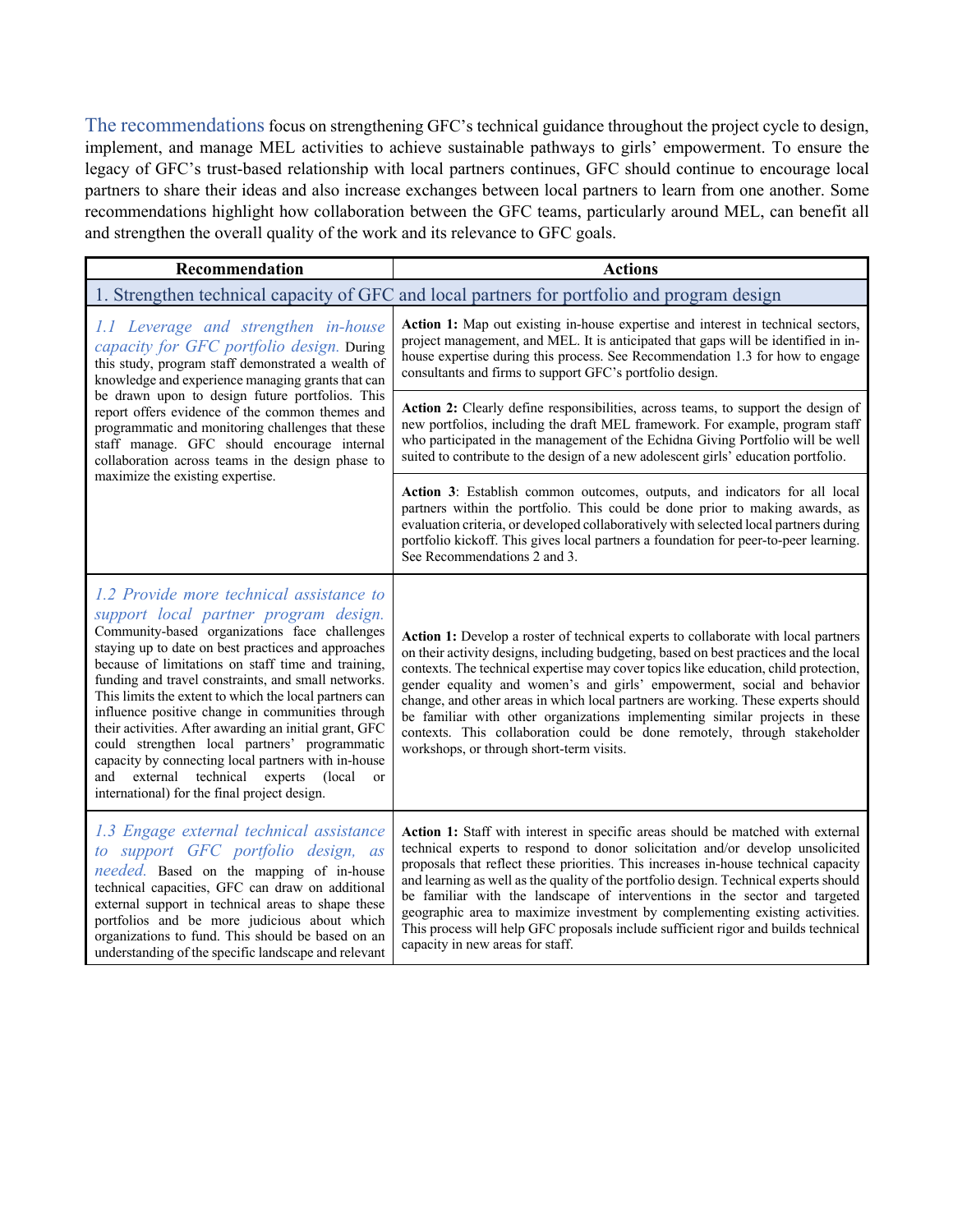The recommendations focus on strengthening GFC's technical guidance throughout the project cycle to design, implement, and manage MEL activities to achieve sustainable pathways to girls' empowerment. To ensure the legacy of GFC's trust-based relationship with local partners continues, GFC should continue to encourage local partners to share their ideas and also increase exchanges between local partners to learn from one another. Some recommendations highlight how collaboration between the GFC teams, particularly around MEL, can benefit all and strengthen the overall quality of the work and its relevance to GFC goals.

| Recommendation                                                                                                                                                                                                                                                                                                                                                                                                                                                                                                                                                                                                                                                                                  | <b>Actions</b>                                                                                                                                                                                                                                                                                                                                                                                                                                                                                                                                                                                                                             |
|-------------------------------------------------------------------------------------------------------------------------------------------------------------------------------------------------------------------------------------------------------------------------------------------------------------------------------------------------------------------------------------------------------------------------------------------------------------------------------------------------------------------------------------------------------------------------------------------------------------------------------------------------------------------------------------------------|--------------------------------------------------------------------------------------------------------------------------------------------------------------------------------------------------------------------------------------------------------------------------------------------------------------------------------------------------------------------------------------------------------------------------------------------------------------------------------------------------------------------------------------------------------------------------------------------------------------------------------------------|
| 1. Strengthen technical capacity of GFC and local partners for portfolio and program design                                                                                                                                                                                                                                                                                                                                                                                                                                                                                                                                                                                                     |                                                                                                                                                                                                                                                                                                                                                                                                                                                                                                                                                                                                                                            |
| 1.1 Leverage and strengthen in-house<br>capacity for GFC portfolio design. During<br>this study, program staff demonstrated a wealth of<br>knowledge and experience managing grants that can<br>be drawn upon to design future portfolios. This<br>report offers evidence of the common themes and<br>programmatic and monitoring challenges that these<br>staff manage. GFC should encourage internal<br>collaboration across teams in the design phase to<br>maximize the existing expertise.                                                                                                                                                                                                 | Action 1: Map out existing in-house expertise and interest in technical sectors,<br>project management, and MEL. It is anticipated that gaps will be identified in in-<br>house expertise during this process. See Recommendation 1.3 for how to engage<br>consultants and firms to support GFC's portfolio design.                                                                                                                                                                                                                                                                                                                        |
|                                                                                                                                                                                                                                                                                                                                                                                                                                                                                                                                                                                                                                                                                                 | Action 2: Clearly define responsibilities, across teams, to support the design of<br>new portfolios, including the draft MEL framework. For example, program staff<br>who participated in the management of the Echidna Giving Portfolio will be well<br>suited to contribute to the design of a new adolescent girls' education portfolio.                                                                                                                                                                                                                                                                                                |
|                                                                                                                                                                                                                                                                                                                                                                                                                                                                                                                                                                                                                                                                                                 | Action 3: Establish common outcomes, outputs, and indicators for all local<br>partners within the portfolio. This could be done prior to making awards, as<br>evaluation criteria, or developed collaboratively with selected local partners during<br>portfolio kickoff. This gives local partners a foundation for peer-to-peer learning.<br>See Recommendations 2 and 3.                                                                                                                                                                                                                                                                |
| 1.2 Provide more technical assistance to<br>support local partner program design.<br>Community-based organizations face challenges<br>staying up to date on best practices and approaches<br>because of limitations on staff time and training,<br>funding and travel constraints, and small networks.<br>This limits the extent to which the local partners can<br>influence positive change in communities through<br>their activities. After awarding an initial grant, GFC<br>could strengthen local partners' programmatic<br>capacity by connecting local partners with in-house<br>technical experts<br>and<br>external<br>(local)<br>or<br>international) for the final project design. | Action 1: Develop a roster of technical experts to collaborate with local partners<br>on their activity designs, including budgeting, based on best practices and the local<br>contexts. The technical expertise may cover topics like education, child protection,<br>gender equality and women's and girls' empowerment, social and behavior<br>change, and other areas in which local partners are working. These experts should<br>be familiar with other organizations implementing similar projects in these<br>contexts. This collaboration could be done remotely, through stakeholder<br>workshops, or through short-term visits. |
| 1.3 Engage external technical assistance<br>to support GFC portfolio design, as<br>needed. Based on the mapping of in-house<br>technical capacities, GFC can draw on additional<br>external support in technical areas to shape these<br>portfolios and be more judicious about which<br>organizations to fund. This should be based on an<br>understanding of the specific landscape and relevant                                                                                                                                                                                                                                                                                              | Action 1: Staff with interest in specific areas should be matched with external<br>technical experts to respond to donor solicitation and/or develop unsolicited<br>proposals that reflect these priorities. This increases in-house technical capacity<br>and learning as well as the quality of the portfolio design. Technical experts should<br>be familiar with the landscape of interventions in the sector and targeted<br>geographic area to maximize investment by complementing existing activities.<br>This process will help GFC proposals include sufficient rigor and builds technical<br>capacity in new areas for staff.   |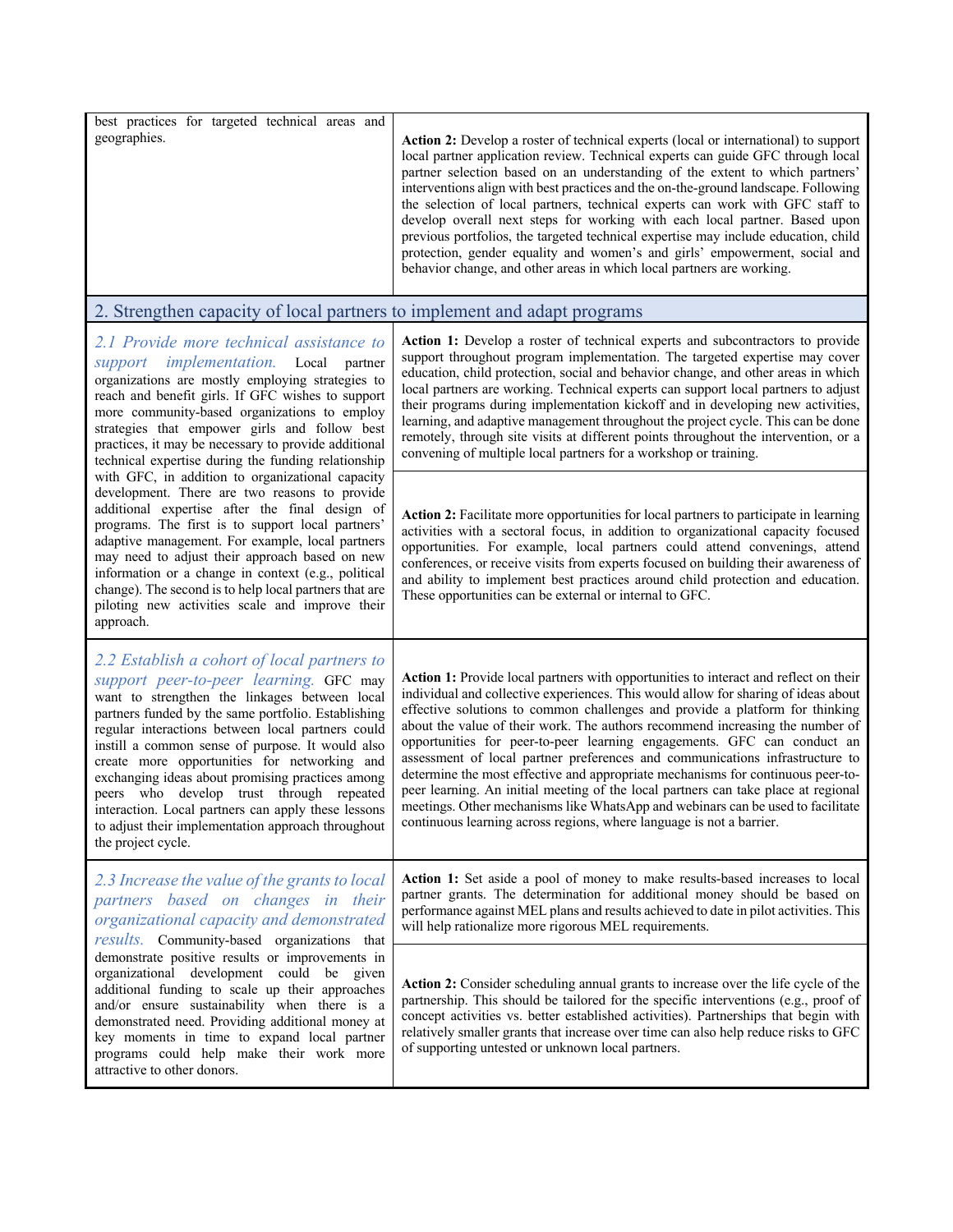| best practices for targeted technical areas and<br>geographies.                                                                                                                                                                                                                                                                                                                                                                                                                                                                                                                                                                                                                                                                                                                                                                                                                                                  | Action 2: Develop a roster of technical experts (local or international) to support<br>local partner application review. Technical experts can guide GFC through local<br>partner selection based on an understanding of the extent to which partners'<br>interventions align with best practices and the on-the-ground landscape. Following<br>the selection of local partners, technical experts can work with GFC staff to<br>develop overall next steps for working with each local partner. Based upon<br>previous portfolios, the targeted technical expertise may include education, child<br>protection, gender equality and women's and girls' empowerment, social and<br>behavior change, and other areas in which local partners are working.                                                                                   |  |
|------------------------------------------------------------------------------------------------------------------------------------------------------------------------------------------------------------------------------------------------------------------------------------------------------------------------------------------------------------------------------------------------------------------------------------------------------------------------------------------------------------------------------------------------------------------------------------------------------------------------------------------------------------------------------------------------------------------------------------------------------------------------------------------------------------------------------------------------------------------------------------------------------------------|--------------------------------------------------------------------------------------------------------------------------------------------------------------------------------------------------------------------------------------------------------------------------------------------------------------------------------------------------------------------------------------------------------------------------------------------------------------------------------------------------------------------------------------------------------------------------------------------------------------------------------------------------------------------------------------------------------------------------------------------------------------------------------------------------------------------------------------------|--|
| 2. Strengthen capacity of local partners to implement and adapt programs                                                                                                                                                                                                                                                                                                                                                                                                                                                                                                                                                                                                                                                                                                                                                                                                                                         |                                                                                                                                                                                                                                                                                                                                                                                                                                                                                                                                                                                                                                                                                                                                                                                                                                            |  |
| 2.1 Provide more technical assistance to<br>support implementation. Local<br>partner<br>organizations are mostly employing strategies to<br>reach and benefit girls. If GFC wishes to support<br>more community-based organizations to employ<br>strategies that empower girls and follow best<br>practices, it may be necessary to provide additional<br>technical expertise during the funding relationship<br>with GFC, in addition to organizational capacity<br>development. There are two reasons to provide<br>additional expertise after the final design of<br>programs. The first is to support local partners'<br>adaptive management. For example, local partners<br>may need to adjust their approach based on new<br>information or a change in context (e.g., political<br>change). The second is to help local partners that are<br>piloting new activities scale and improve their<br>approach. | Action 1: Develop a roster of technical experts and subcontractors to provide<br>support throughout program implementation. The targeted expertise may cover<br>education, child protection, social and behavior change, and other areas in which<br>local partners are working. Technical experts can support local partners to adjust<br>their programs during implementation kickoff and in developing new activities,<br>learning, and adaptive management throughout the project cycle. This can be done<br>remotely, through site visits at different points throughout the intervention, or a<br>convening of multiple local partners for a workshop or training.                                                                                                                                                                   |  |
|                                                                                                                                                                                                                                                                                                                                                                                                                                                                                                                                                                                                                                                                                                                                                                                                                                                                                                                  | Action 2: Facilitate more opportunities for local partners to participate in learning<br>activities with a sectoral focus, in addition to organizational capacity focused<br>opportunities. For example, local partners could attend convenings, attend<br>conferences, or receive visits from experts focused on building their awareness of<br>and ability to implement best practices around child protection and education.<br>These opportunities can be external or internal to GFC.                                                                                                                                                                                                                                                                                                                                                 |  |
| 2.2 Establish a cohort of local partners to<br>support peer-to-peer learning. GFC may<br>want to strengthen the linkages between local<br>partners funded by the same portfolio. Establishing<br>regular interactions between local partners could<br>instill a common sense of purpose. It would also<br>create more opportunities for networking and<br>exchanging ideas about promising practices among<br>peers who develop trust through repeated<br>interaction. Local partners can apply these lessons<br>to adjust their implementation approach throughout<br>the project cycle.                                                                                                                                                                                                                                                                                                                        | Action 1: Provide local partners with opportunities to interact and reflect on their<br>individual and collective experiences. This would allow for sharing of ideas about<br>effective solutions to common challenges and provide a platform for thinking<br>about the value of their work. The authors recommend increasing the number of<br>opportunities for peer-to-peer learning engagements. GFC can conduct an<br>assessment of local partner preferences and communications infrastructure to<br>determine the most effective and appropriate mechanisms for continuous peer-to-<br>peer learning. An initial meeting of the local partners can take place at regional<br>meetings. Other mechanisms like WhatsApp and webinars can be used to facilitate<br>continuous learning across regions, where language is not a barrier. |  |
| 2.3 Increase the value of the grants to local<br>partners based on changes in their<br>organizational capacity and demonstrated<br>results. Community-based organizations that                                                                                                                                                                                                                                                                                                                                                                                                                                                                                                                                                                                                                                                                                                                                   | Action 1: Set aside a pool of money to make results-based increases to local<br>partner grants. The determination for additional money should be based on<br>performance against MEL plans and results achieved to date in pilot activities. This<br>will help rationalize more rigorous MEL requirements.                                                                                                                                                                                                                                                                                                                                                                                                                                                                                                                                 |  |
| demonstrate positive results or improvements in<br>organizational development could be given<br>additional funding to scale up their approaches<br>and/or ensure sustainability when there is a<br>demonstrated need. Providing additional money at<br>key moments in time to expand local partner<br>programs could help make their work more<br>attractive to other donors.                                                                                                                                                                                                                                                                                                                                                                                                                                                                                                                                    | Action 2: Consider scheduling annual grants to increase over the life cycle of the<br>partnership. This should be tailored for the specific interventions (e.g., proof of<br>concept activities vs. better established activities). Partnerships that begin with<br>relatively smaller grants that increase over time can also help reduce risks to GFC<br>of supporting untested or unknown local partners.                                                                                                                                                                                                                                                                                                                                                                                                                               |  |